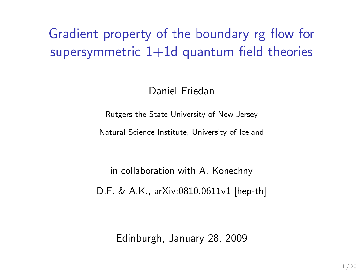# Gradient property of the boundary rg flow for supersymmetric  $1+1d$  quantum field theories

Daniel Friedan

Rutgers the State University of New Jersey

Natural Science Institute, University of Iceland

in collaboration with A. Konechny D.F. & A.K., arXiv:0810.0611v1 [hep-th]

Edinburgh, January 28, 2009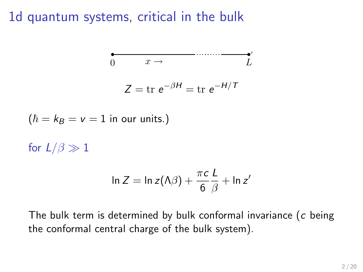1d quantum systems, critical in the bulk

$$
\int_{0}^{\frac{\pi}{2}} \frac{x}{x} dx = \frac{1}{2} \int_{0}^{\frac{\pi}{2}} \frac{1}{x} dx
$$
  
\n
$$
Z = \text{tr } e^{-\beta H} = \text{tr } e^{-H/T}
$$
  
\n
$$
\int \int_{0}^{\pi} \frac{1}{\beta} dx = \ln z (1 - \frac{\pi c}{c}) + \ln z
$$
  
\n
$$
\ln z = \ln z (1 - \frac{\pi c}{c}) + \ln z
$$

The bulk term is determined by bulk conformal invariance  $(c$  being the conformal central charge of the bulk system).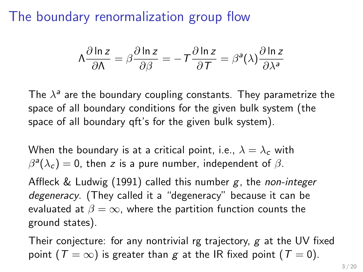## The boundary renormalization group flow

$$
\Lambda \frac{\partial \ln z}{\partial \Lambda} = \beta \frac{\partial \ln z}{\partial \beta} = -T \frac{\partial \ln z}{\partial T} = \beta^{a}(\lambda) \frac{\partial \ln z}{\partial \lambda^{a}}
$$

The  $\lambda^a$  are the boundary coupling constants. They parametrize the space of all boundary conditions for the given bulk system (the space of all boundary qft's for the given bulk system).

When the boundary is at a critical point, i.e.,  $\lambda = \lambda_c$  with  $\beta^{\mathsf{a}}(\lambda_{\mathsf{c}})=0$ , then  $\mathsf z$  is a pure number, independent of  $\beta.$ 

Affleck & Ludwig (1991) called this number  $g$ , the non-integer degeneracy. (They called it a "degeneracy" because it can be evaluated at  $\beta = \infty$ , where the partition function counts the ground states).

Their conjecture: for any nontrivial rg trajectory,  $g$  at the UV fixed point ( $T = \infty$ ) is greater than g at the IR fixed point ( $T = 0$ ).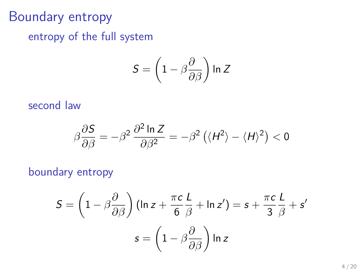## Boundary entropy

entropy of the full system

$$
\mathcal{S} = \left(1 - \beta \frac{\partial}{\partial \beta}\right) \ln Z
$$

#### second law

$$
\beta \frac{\partial S}{\partial \beta} = -\beta^2 \frac{\partial^2 \ln Z}{\partial \beta^2} = -\beta^2 \left( \langle H^2 \rangle - \langle H \rangle^2 \right) < 0
$$

### boundary entropy

$$
S = \left(1 - \beta \frac{\partial}{\partial \beta}\right) \left(\ln z + \frac{\pi c}{6} \frac{L}{\beta} + \ln z'\right) = s + \frac{\pi c}{3} \frac{L}{\beta} + s'
$$

$$
s = \left(1 - \beta \frac{\partial}{\partial \beta}\right) \ln z
$$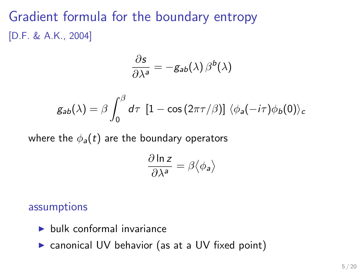# Gradient formula for the boundary entropy [D.F. & A.K., 2004]

$$
\frac{\partial s}{\partial \lambda^a} = -g_{ab}(\lambda) \beta^b(\lambda)
$$

$$
g_{ab}(\lambda) = \beta \int_0^\beta d\tau \, [1 - \cos(2\pi \tau/\beta)] \, \langle \phi_a(-i\tau) \phi_b(0) \rangle_c
$$

where the  $\phi_a(t)$  are the boundary operators

$$
\frac{\partial \ln z}{\partial \lambda^a} = \beta \langle \phi_a \rangle
$$

#### assumptions

- $\blacktriangleright$  bulk conformal invariance
- $\triangleright$  canonical UV behavior (as at a UV fixed point)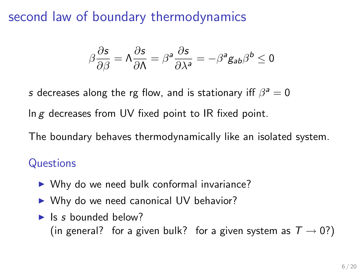second law of boundary thermodynamics

$$
\beta\frac{\partial s}{\partial \beta}=\Lambda\frac{\partial s}{\partial \Lambda}=\beta^a\frac{\partial s}{\partial \lambda^a}=-\beta^a g_{ab}\beta^b\leq 0
$$

s decreases along the rg flow, and is stationary iff  $\beta^a = 0$ 

In  $g$  decreases from UV fixed point to IR fixed point.

The boundary behaves thermodynamically like an isolated system.

### **Questions**

- $\triangleright$  Why do we need bulk conformal invariance?
- $\triangleright$  Why do we need canonical UV behavior?
- $\blacktriangleright$  Is s bounded below? (in general? for a given bulk? for a given system as  $T \rightarrow 0$ ?)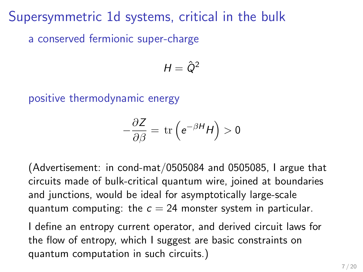Supersymmetric 1d systems, critical in the bulk a conserved fermionic super-charge

$$
H=\hat{Q}^2
$$

positive thermodynamic energy

$$
-\frac{\partial Z}{\partial \beta} = \text{tr}\left(e^{-\beta H}H\right) > 0
$$

(Advertisement: in cond-mat/0505084 and 0505085, I argue that circuits made of bulk-critical quantum wire, joined at boundaries and junctions, would be ideal for asymptotically large-scale quantum computing: the  $c = 24$  monster system in particular.

I define an entropy current operator, and derived circuit laws for the flow of entropy, which I suggest are basic constraints on quantum computation in such circuits.)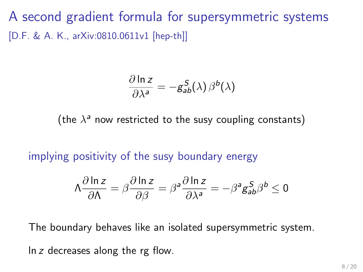A second gradient formula for supersymmetric systems [D.F. & A. K., arXiv:0810.0611v1 [hep-th]]

$$
\frac{\partial \ln z}{\partial \lambda^a} = -g_{ab}^S(\lambda) \beta^b(\lambda)
$$

(the  $\lambda^a$  now restricted to the susy coupling constants)

implying positivity of the susy boundary energy

$$
\Lambda \frac{\partial \ln z}{\partial \Lambda} = \beta \frac{\partial \ln z}{\partial \beta} = \beta^{\mathsf{a}} \frac{\partial \ln z}{\partial \lambda^{\mathsf{a}}} = -\beta^{\mathsf{a}} g_{\mathsf{a}\mathsf{b}}^{\mathsf{S}} \beta^{\mathsf{b}} \le 0
$$

The boundary behaves like an isolated supersymmetric system.

ln z decreases along the rg flow.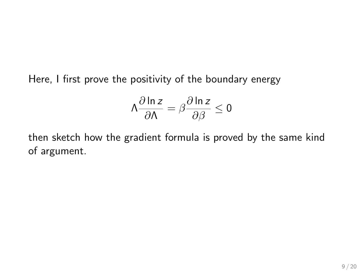Here, I first prove the positivity of the boundary energy

$$
\Lambda \frac{\partial \ln z}{\partial \Lambda} = \beta \frac{\partial \ln z}{\partial \beta} \le 0
$$

then sketch how the gradient formula is proved by the same kind of argument.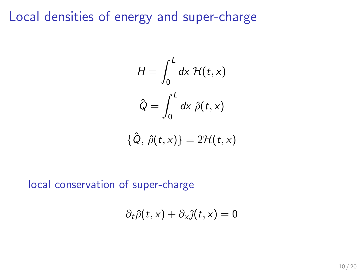### Local densities of energy and super-charge

$$
H = \int_0^L dx \mathcal{H}(t, x)
$$

$$
\hat{Q} = \int_0^L dx \hat{\rho}(t, x)
$$

$$
\{\hat{Q},\,\hat{\rho}(t,x)\}=2\mathcal{H}(t,x)
$$

#### local conservation of super-charge

$$
\partial_t \hat{\rho}(t,x) + \partial_x \hat{\jmath}(t,x) = 0
$$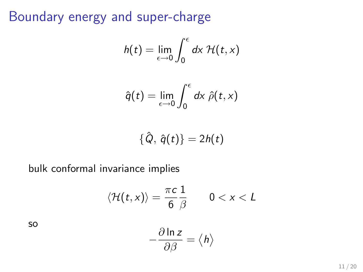# Boundary energy and super-charge

$$
h(t) = \lim_{\epsilon \to 0} \int_0^{\epsilon} dx \mathcal{H}(t, x)
$$

$$
\hat{q}(t) = \lim_{\epsilon \to 0} \int_0^{\epsilon} dx \hat{\rho}(t,x)
$$

$$
\{\hat{Q},\,\hat{q}(t)\}=2h(t)
$$

bulk conformal invariance implies

$$
\langle \mathcal{H}(t,x)\rangle = \frac{\pi c}{6} \frac{1}{\beta} \qquad 0 < x < L
$$

so

$$
-\frac{\partial \ln z}{\partial \beta} = \langle h \rangle
$$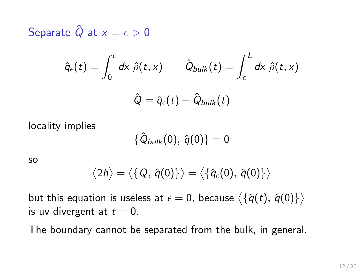Separate  $\hat{Q}$  at  $x = \epsilon > 0$ 

$$
\hat{q}_{\epsilon}(t) = \int_0^{\epsilon} dx \; \hat{\rho}(t, x) \qquad \hat{Q}_{bulk}(t) = \int_{\epsilon}^{L} dx \; \hat{\rho}(t, x)
$$

$$
\hat{Q} = \hat{q}_{\epsilon}(t) + \hat{Q}_{bulk}(t)
$$

locality implies

$$
\{\hat{Q}_{bulk}(0),\,\hat{q}(0)\}=0
$$

so

$$
\langle 2h \rangle = \langle \{Q, \hat{q}(0)\} \rangle = \langle \{\hat{q}_{\epsilon}(0), \hat{q}(0)\} \rangle
$$

but this equation is useless at  $\epsilon=0$ , because  $\big\langle\{\hat{q}(t),\,\hat{q}(0)\}\big\rangle$ is uv divergent at  $t = 0$ .

The boundary cannot be separated from the bulk, in general.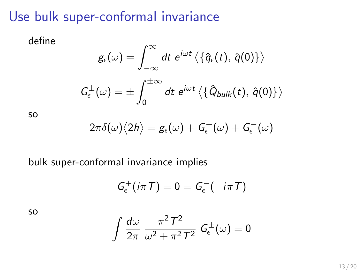# Use bulk super-conformal invariance

define

$$
g_\epsilon(\omega) = \int_{-\infty}^{\infty} dt \ e^{i\omega t} \left\langle \left\{ \hat{q}_\epsilon(t), \ \hat{q}(0) \right\} \right\rangle
$$

$$
G_\epsilon^{\pm}(\omega) = \pm \int_0^{\pm \infty} dt \ e^{i\omega t} \left\langle \left\{ \hat{Q}_{bulk}(t), \ \hat{q}(0) \right\} \right\rangle
$$

so

$$
2\pi\delta(\omega)\langle 2h\rangle=g_\epsilon(\omega)+G_\epsilon^+(\omega)+G_\epsilon^-(\omega)
$$

#### bulk super-conformal invariance implies

$$
G_{\epsilon}^+(i\pi T)=0=G_{\epsilon}^-(-i\pi T)
$$

so

$$
\int \frac{d\omega}{2\pi} \frac{\pi^2 T^2}{\omega^2 + \pi^2 T^2} G_{\epsilon}^{\pm}(\omega) = 0
$$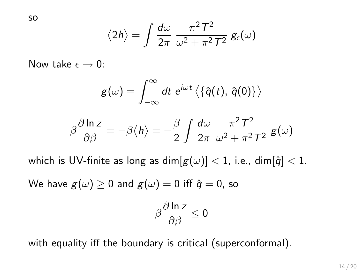so

$$
\langle 2h \rangle = \int \frac{d\omega}{2\pi} \frac{\pi^2 T^2}{\omega^2 + \pi^2 T^2} g_{\epsilon}(\omega)
$$

Now take  $\epsilon \to 0$ :

$$
g(\omega)=\int_{-\infty}^{\infty}dt\,\,e^{i\omega t}\left\langle \left\{ \widehat{q}(t),\,\widehat{q}(0)\right\} \right\rangle
$$

$$
\beta \frac{\partial \ln z}{\partial \beta} = -\beta \langle h \rangle = -\frac{\beta}{2} \int \frac{d\omega}{2\pi} \frac{\pi^2 T^2}{\omega^2 + \pi^2 T^2} g(\omega)
$$

which is UV-finite as long as  $\dim[g(\omega)] < 1$ , i.e.,  $\dim[\hat{q}] < 1$ .

We have  $g(\omega) \ge 0$  and  $g(\omega) = 0$  iff  $\hat{q} = 0$ , so

$$
\beta \frac{\partial \ln z}{\partial \beta} \leq 0
$$

with equality iff the boundary is critical (superconformal).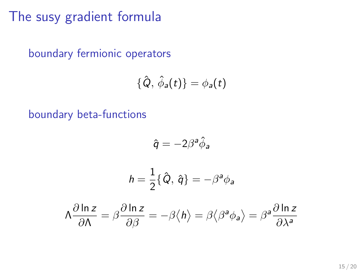The susy gradient formula

boundary fermionic operators

$$
\{\hat{Q},\,\hat{\phi}_a(t)\}=\phi_a(t)
$$

boundary beta-functions

$$
\hat{q} = -2\beta^a \hat{\phi}_a
$$

$$
h=\frac{1}{2}\{\hat{Q},\,\hat{q}\}=-\beta^a\phi_a
$$

$$
\Lambda \frac{\partial \ln z}{\partial \Lambda} = \beta \frac{\partial \ln z}{\partial \beta} = -\beta \langle h \rangle = \beta \langle \beta^a \phi_a \rangle = \beta^a \frac{\partial \ln z}{\partial \lambda^a}
$$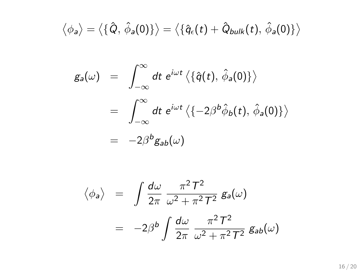$$
\langle \phi_{a} \rangle = \langle \{\hat{Q}, \hat{\phi}_{a}(0)\} \rangle = \langle \{\hat{q}_{\epsilon}(t) + \hat{Q}_{bulk}(t), \hat{\phi}_{a}(0)\} \rangle
$$

$$
g_a(\omega) = \int_{-\infty}^{\infty} dt \ e^{i\omega t} \langle {\hat{q}(t), \hat{\phi}_a(0)} \rangle
$$
  
= 
$$
\int_{-\infty}^{\infty} dt \ e^{i\omega t} \langle {-2\beta^b \hat{\phi}_b(t), \hat{\phi}_a(0)} \rangle
$$
  
= 
$$
-2\beta^b g_{ab}(\omega)
$$

$$
\langle \phi_a \rangle = \int \frac{d\omega}{2\pi} \frac{\pi^2 T^2}{\omega^2 + \pi^2 T^2} g_a(\omega)
$$

$$
= -2\beta^b \int \frac{d\omega}{2\pi} \frac{\pi^2 T^2}{\omega^2 + \pi^2 T^2} g_{ab}(\omega)
$$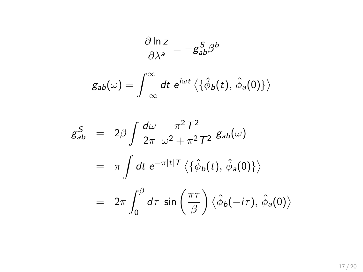$$
\frac{\partial \ln z}{\partial \lambda^a} = -g_{ab}^S \beta^b
$$

$$
g_{ab}(\omega) = \int_{-\infty}^{\infty} dt \ e^{i\omega t} \langle {\hat{\phi}_b(t), \hat{\phi}_a(0)} \rangle
$$

$$
g_{ab}^{S} = 2\beta \int \frac{d\omega}{2\pi} \frac{\pi^{2} T^{2}}{\omega^{2} + \pi^{2} T^{2}} g_{ab}(\omega)
$$
  
=  $\pi \int dt e^{-\pi |t| T} \langle {\hat{\phi}_{b}(t), \hat{\phi}_{a}(0)} \rangle$   
=  $2\pi \int_{0}^{\beta} d\tau \sin \left(\frac{\pi \tau}{\beta}\right) \langle \hat{\phi}_{b}(-i\tau), \hat{\phi}_{a}(0) \rangle$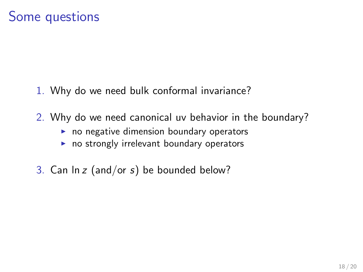## Some questions

- 1. Why do we need bulk conformal invariance?
- 2. Why do we need canonical uv behavior in the boundary?
	- $\blacktriangleright$  no negative dimension boundary operators
	- $\blacktriangleright$  no strongly irrelevant boundary operators
- 3. Can  $\ln z$  (and/or s) be bounded below?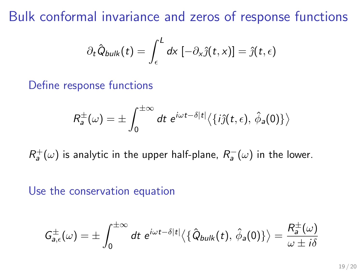Bulk conformal invariance and zeros of response functions

$$
\partial_t \hat{Q}_{bulk}(t) = \int_{\epsilon}^{L} dx \, [-\partial_x \hat{j}(t,x)] = \hat{j}(t,\epsilon)
$$

#### Define response functions

$$
R_a^{\pm}(\omega)=\pm\int_0^{\pm\infty}dt\,\,e^{i\omega t-\delta|t|}\langle\{i\hat{\jmath}(t,\epsilon),\,\hat{\phi}_a(0)\}\rangle
$$

 $R^+_a(\omega)$  is analytic in the upper half-plane,  $R^-_a(\omega)$  in the lower.

#### Use the conservation equation

$$
G_{a,\epsilon}^{\pm}(\omega)=\pm\int_0^{\pm\infty}dt\,\,e^{i\omega t-\delta|t|}\langle\{\hat{Q}_{bulk}(t),\,\hat{\phi}_a(0)\}\rangle=\frac{R_a^{\pm}(\omega)}{\omega\pm i\delta}
$$